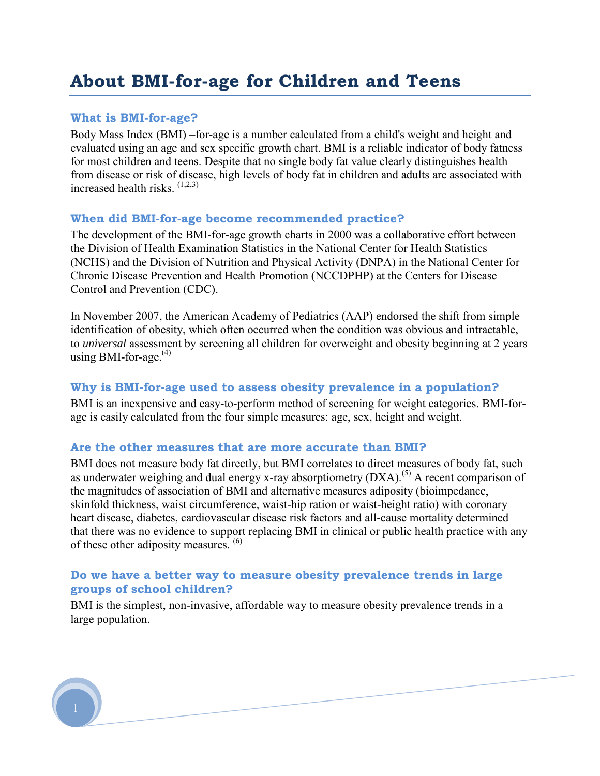# **About BMI-for-age for Children and Teens**

#### **What is BMI-for-age?**

Body Mass Index (BMI) –for-age is a number calculated from a child's weight and height and evaluated using an age and sex specific growth chart. BMI is a reliable indicator of body fatness for most children and teens. Despite that no single body fat value clearly distinguishes health from disease or risk of disease, high levels of body fat in children and adults are associated with increased health risks.  $(1,2,3)$ 

#### **When did BMI-for-age become recommended practice?**

The development of the BMI-for-age growth charts in 2000 was a collaborative effort between the Division of Health Examination Statistics in the National Center for Health Statistics (NCHS) and the Division of Nutrition and Physical Activity (DNPA) in the National Center for Chronic Disease Prevention and Health Promotion (NCCDPHP) at the Centers for Disease Control and Prevention (CDC).

In November 2007, the American Academy of Pediatrics (AAP) endorsed the shift from simple identification of obesity, which often occurred when the condition was obvious and intractable, to *universal* assessment by screening all children for overweight and obesity beginning at 2 years using BMI-for-age. $(4)$ 

#### **Why is BMI-for-age used to assess obesity prevalence in a population?**

BMI is an inexpensive and easy-to-perform method of screening for weight categories. BMI-forage is easily calculated from the four simple measures: age, sex, height and weight.

#### **Are the other measures that are more accurate than BMI?**

BMI does not measure body fat directly, but BMI correlates to direct measures of body fat, such as underwater weighing and dual energy x-ray absorptiometry  $(DXA)$ .<sup>(5)</sup> A recent comparison of the magnitudes of association of BMI and alternative measures adiposity (bioimpedance, skinfold thickness, waist circumference, waist-hip ration or waist-height ratio) with coronary heart disease, diabetes, cardiovascular disease risk factors and all-cause mortality determined that there was no evidence to support replacing BMI in clinical or public health practice with any of these other adiposity measures. (6)

### **Do we have a better way to measure obesity prevalence trends in large groups of school children?**

BMI is the simplest, non-invasive, affordable way to measure obesity prevalence trends in a large population.